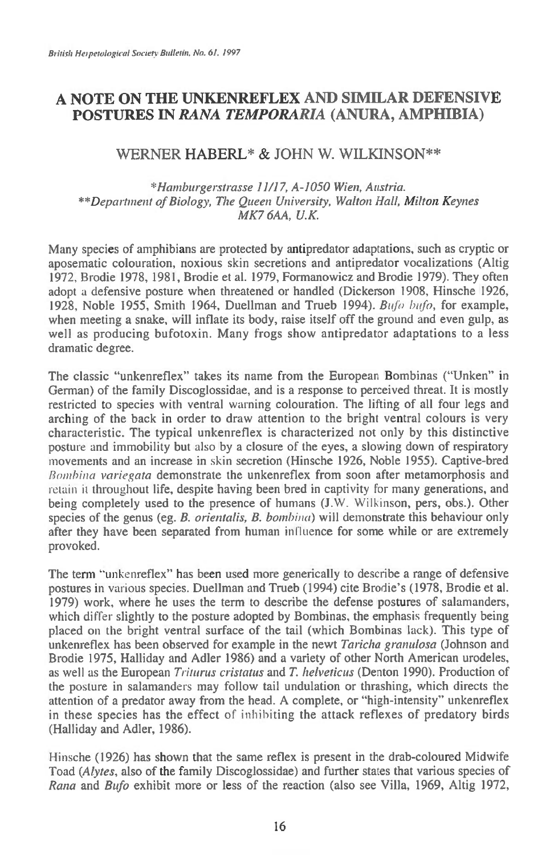# **A NOTE ON THE UNKENREFLEX AND SIMILAR DEFENSIVE POSTURES IN** *RANA TEMPORARIA* **(ANURA, AMPHIBIA)**

## WERNER HABERL\* & JOHN W. WILKINSON\*\*

*\*Hamburgerstrasse 11/17, A-1050 Wien, Austria. \*\*Department of Biology, The Queen University, Walton Hall, Milton Keynes MK7 6AA, U.K.* 

Many species of amphibians are protected by antipredator adaptations, such as cryptic or aposematic colouration, noxious skin secretions and antipredator vocalizations (Altig 1972, Brodie 1978, 1981, Brodie et al. 1979, Formanowicz and Brodie 1979). They often adopt a defensive posture when threatened or handled (Dickerson 1908, Hinsche 1926, 1928, Noble 1955, Smith 1964, Duellman and Trueb 1994). *Bufo bufo*, for example, when meeting a snake, will inflate its body, raise itself off the ground and even gulp, as well as producing bufotoxin. Many frogs show antipredator adaptations to a less dramatic degree.

The classic "unkenreflex" takes its name from the European Bombinas ("Unken" in German) of the family Discoglossidae, and is a response to perceived threat. It is mostly restricted to species with ventral warning colouration. The lifting of all four legs and arching of the back in order to draw attention to the bright ventral colours is very characteristic. The typical unkenreflex is characterized not only by this distinctive posture and immobility but also by a closure of the eyes, a slowing down of respiratory movements and an increase in skin secretion (Hinsche 1926, Noble 1955). Captive-bred *Rombina vaniegata* demonstrate the unkenreflex from soon after metamorphosis and retain it throughout life, despite having been bred in captivity for many generations, and being completely used to the presence of humans (J.W. Wilkinson, pers, obs.). Other species of the genus (eg. *B. orientalis, B. bombina*) will demonstrate this behaviour only after they have been separated from human influence for some while or are extremely provoked.

The term "unkenreflex" has been used more generically to describe a range of defensive postures in various species. Duellman and Trueb (1994) cite Brodie's (1978, Brodie et al. 1979) work, where he uses the term to describe the defense postures of salamanders, which differ slightly to the posture adopted by Bombinas, the emphasis frequently being placed on the bright ventral surface of the tail (which Bombinas lack). This type of unkenreflex has been observed for example in the newt *Taricha granulosa* (Johnson and Brodie 1975, Halliday and Adler 1986) and a variety of other North American urodeles, as well as the European *Triturus cristatus* and *T. helveticus* (Denton 1990). Production of the posture in salamanders may follow tail undulation or thrashing, which directs the attention of a predator away from the head. A complete, or "high-intensity" unkenreflex in these species has the effect of inhibiting the attack reflexes of predatory birds (Halliday and Adler, 1986).

Hinsche (1926) has shown that the same reflex is present in the drab-coloured Midwife Toad *(Alytes,* also of the family Discoglossidae) and further states that various species of *Rana* and *Bufo* exhibit more or less of the reaction (also see Villa, 1969, Altig 1972,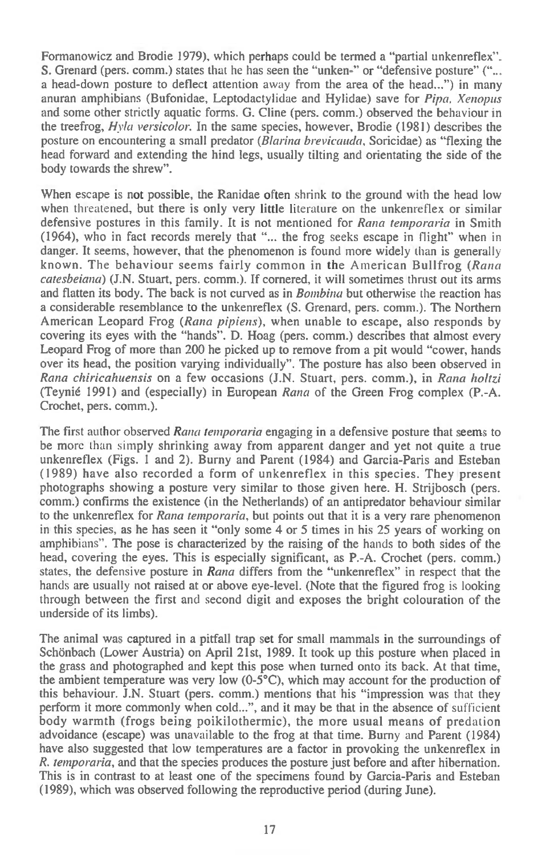Formanowicz and Brodie 1979), which perhaps could be termed a "partial unkenreflex". S. Grenard (pers. comm.) states that he has seen the "unken-" or "defensive posture" ("... a head-down posture to deflect attention away from the area of the head...") in many anuran amphibians (Bufonidae, Leptodactylidae and Hylidae) save for *Pipa. Xenopus*  and some other strictly aquatic forms. G. Cline (pers. comm.) observed the behaviour in the treefrog, *Hvla versicolor.* In the same species, however, Brodie (1981) describes the posture on encountering a small predator *(Blarina brevicauda,* Soricidae) as "flexing the head forward and extending the hind legs, usually tilting and orientating the side of the body towards the shrew".

When escape is not possible, the Ranidae often shrink to the ground with the head low when threatened, but there is only very little literature on the unkenreflex or similar defensive postures in this family. It is not mentioned for *Rana temporaria* in Smith (1964), who in fact records merely that "... the frog seeks escape in flight" when in danger. It seems, however, that the phenomenon is found more widely than is generally known. The behaviour seems fairly common in the American Bullfrog *(Rana catesbeiana)* (J.N. Stuart, pers. comm.). If cornered, it will sometimes thrust out its arms and flatten its body. The back is not curved as in *Bombina* but otherwise the reaction has a considerable resemblance to the unkenreflex (S. Grenard, pers. comm.). The Northern American Leopard Frog *(Rana pipiens),* when unable to escape, also responds by covering its eyes with the "hands". D. Hoag (pers. comm.) describes that almost every Leopard Frog of more than 200 he picked up to remove from a pit would "cower, hands over its head, the position varying individually". The posture has also been observed in *Rana chiricahuensis* on a few occasions (J.N. Stuart, pers. comm.), in *Rana holtzi*  (Teynid 1991) and (especially) in European *Rana* of the Green Frog complex (P.-A. Crochet, pers. comm.).

The first author observed *Rana temporaria* engaging in a defensive posture that seems to be more than simply shrinking away from apparent danger and yet not quite a true unkenreflex (Figs. 1 and 2). Burny and Parent (1984) and Garcia-Paris and Esteban (1989) have also recorded a form of unkenreflex in this species. They present photographs showing a posture very similar to those given here. H. Strijbosch (pers. comm.) confirms the existence (in the Netherlands) of an antipredator behaviour similar to the unkenreflex for *Rana temporaria,* but points out that it is a very rare phenomenon in this species, as he has seen it "only some 4 or 5 times in his 25 years of working on amphibians". The pose is characterized by the raising of the hands to both sides of the head, covering the eyes. This is especially significant, as P.-A. Crochet (pers. comm.) states, the defensive posture in *Rana* differs from the "unkenreflex" in respect that the hands are usually not raised at or above eye-level. (Note that the figured frog is looking through between the first and second digit and exposes the bright colouration of the underside of its limbs).

The animal was captured in a pitfall trap set for small mammals in the surroundings of Schönbach (Lower Austria) on April 21st, 1989. It took up this posture when placed in the grass and photographed and kept this pose when turned onto its back. At that time, the ambient temperature was very low  $(0-5^{\circ}C)$ , which may account for the production of this behaviour. J.N. Stuart (pers. comm.) mentions that his "impression was that they perform it more commonly when cold...", and it may be that in the absence of sufficient body warmth (frogs being poikilothermic), the more usual means of predation advoidance (escape) was unavailable to the frog at that time. Burny and Parent (1984) have also suggested that low temperatures are a factor in provoking the unkenreflex in *R. temporaria,* and that the species produces the posture just before and after hibernation. This is in contrast to at least one of the specimens found by Garcia-Paris and Esteban (1989), which was observed following the reproductive period (during June).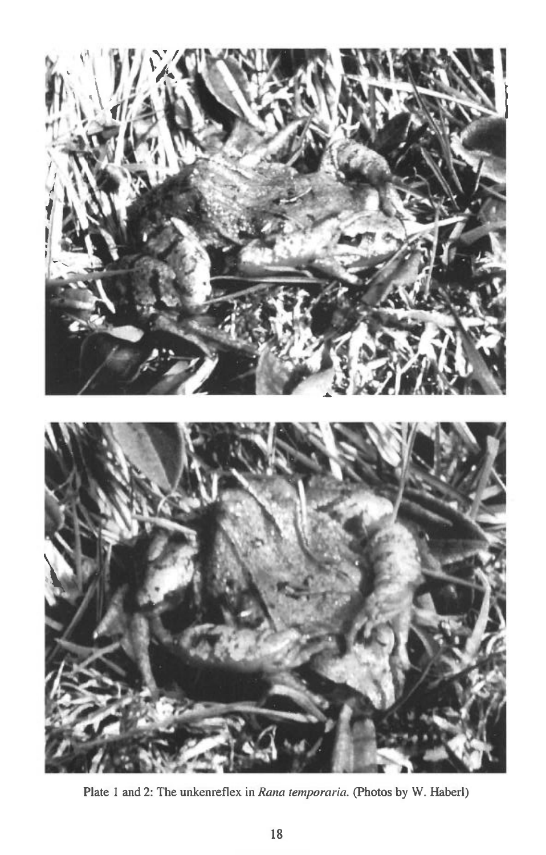

Plate 1 and 2: The unkenreflex in *Rana temporaria*. (Photos by W. Haberl)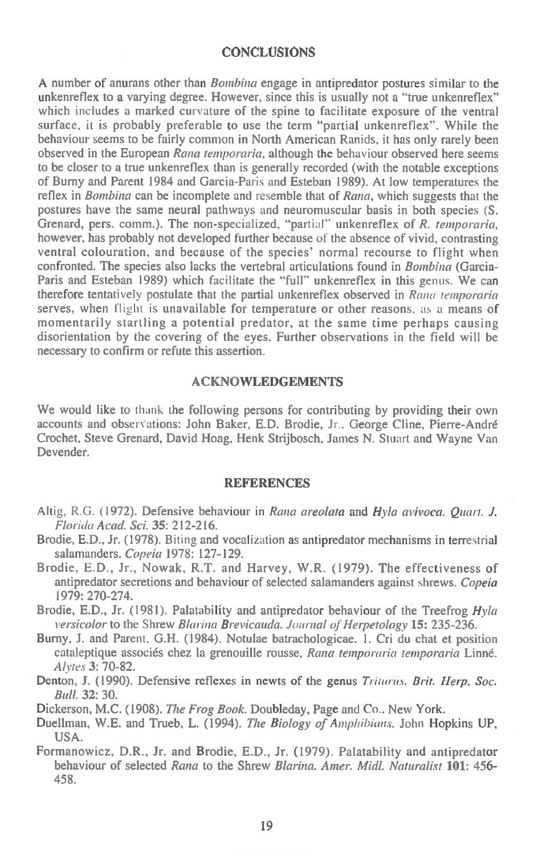#### **CONCLUSIONS**

A number of anurans other than *Bombina* engage in antipredator postures similar to the unkenreflex to a varying degree. However, since this is usually not a "true unkenreflex" which includes a marked curvature of the spine to facilitate exposure of the ventral surface, it is probably preferable to use the term "partial unkenreflex". While the behaviour seems to be fairly common in North American Ranids, it has only rarely been observed in the European *Rana temporaria,* although the behaviour observed here seems to be closer to a true unkenreflex than is generally recorded (with the notable exceptions of Burny and Parent 1984 and Garcia-Paris and Esteban 1989). At low temperatures the reflex in *Bombina* can be incomplete and resemble that of *Rana,* which suggests that the postures have the same neural pathways and neuromuscular basis in both species (S. Grenard, pers. comm.). The non-specialized, "partial" unkenreflex of *R. temporaria,*  however, has probably not developed further because of the absence of vivid, contrasting ventral colouration, and because of the species' normal recourse to flight when confronted. The species also lacks the vertebral articulations found in *Bombina* (Garcia-Paris and Esteban 1989) which facilitate the "full" unkenreflex in this genus. We can therefore tentatively postulate that the partial unkenreflex observed in *Rana temporaria*  serves, when flight is unavailable for temperature or other reasons, as a means of momentarily startling a potential predator, at the same time perhaps causing disorientation by the covering of the eyes. Further observations in the field will be necessary to confirm or refute this assertion.

#### **ACKNOWLEDGEMENTS**

We would like to thank the following persons for contributing by providing their own accounts and obser' ations: John Baker, **E.D.** Brodie, Jr.. George Cline, Pierre-Andre Crochet, Steve Grenard, David Hoag, Henk Strijbosch, James N. Stuart and Wayne Van Devender.

### **REFERENCES**

- Altig, R.G. (1972). Defensive behaviour *in Rana areolata* and *Hyla avivoca. Quart. J. Florida Acad. Sci.* **35:** 212-216.
- Brodie, E.D., Jr. (1978). Biting and vocalization as antipredator mechanisms in terrestrial salamanders. *Copeia* 1978: 127-129.
- Brodie, E.D., Jr., Nowak, R.T. and Harvey, W.R. (1979). The effectiveness of antipredator secretions and behaviour of selected salamanders against shrews. *Copeia*  1979: 270-274.
- Brodie, E.D., Jr. (1981). Palatability and antipredator behaviour of the Treefrog *Hyla versicolor to the* Shrew *Blarina Brevicauda. Journal of Herpetology* **15:** 235-236.
- Burny, J. and Parent, G.H. (1984). Notulae batrachologicae. I. Cri du chat et position cataleptique associes chez la grenouille rousse, *Rana temporaria temporaria* Linne. *Alytes* 3: 70-82.
- Denton, J. (1990). Defensive reflexes in newts of the genus *Triturus. Brit. Herp. Soc. Bull.* **32:** 30.
- Dickerson, M.C. (1908). *The Frog Book.* Doubleday, Page and Co., New York.
- Duellman, W.E. and Trueb, **L.** (1994). *The Biology of Amphibians.* John Hopkins UP, USA.
- Formanowicz, D.R., Jr. and Brodie, E.D., Jr. (1979). Palatability and antipredator behaviour of selected *Rana* to the Shrew *Blarina. Amer. Midl. Naturalist* **101:** 456- 458.